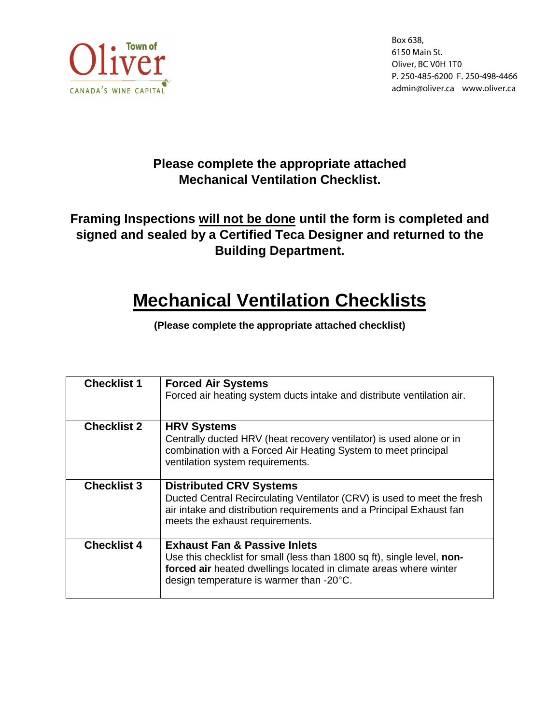

Box 638, 6150 Main St. Oliver, BC V0H 1T0 P. 250-485-6200 F. 250-498-4466 admin@oliver.ca www.oliver.ca

### **Please complete the appropriate attached Mechanical Ventilation Checklist.**

## **Framing Inspections will not be done until the form is completed and signed and sealed by a Certified Teca Designer and returned to the Building Department.**

# **Mechanical Ventilation Checklists**

**(Please complete the appropriate attached checklist)** 

| <b>Checklist 1</b> | <b>Forced Air Systems</b><br>Forced air heating system ducts intake and distribute ventilation air.                                                                                                                                 |
|--------------------|-------------------------------------------------------------------------------------------------------------------------------------------------------------------------------------------------------------------------------------|
| <b>Checklist 2</b> | <b>HRV Systems</b><br>Centrally ducted HRV (heat recovery ventilator) is used alone or in<br>combination with a Forced Air Heating System to meet principal<br>ventilation system requirements.                                     |
| <b>Checklist 3</b> | <b>Distributed CRV Systems</b><br>Ducted Central Recirculating Ventilator (CRV) is used to meet the fresh<br>air intake and distribution requirements and a Principal Exhaust fan<br>meets the exhaust requirements.                |
| <b>Checklist 4</b> | <b>Exhaust Fan &amp; Passive Inlets</b><br>Use this checklist for small (less than 1800 sq ft), single level, non-<br>forced air heated dwellings located in climate areas where winter<br>design temperature is warmer than -20°C. |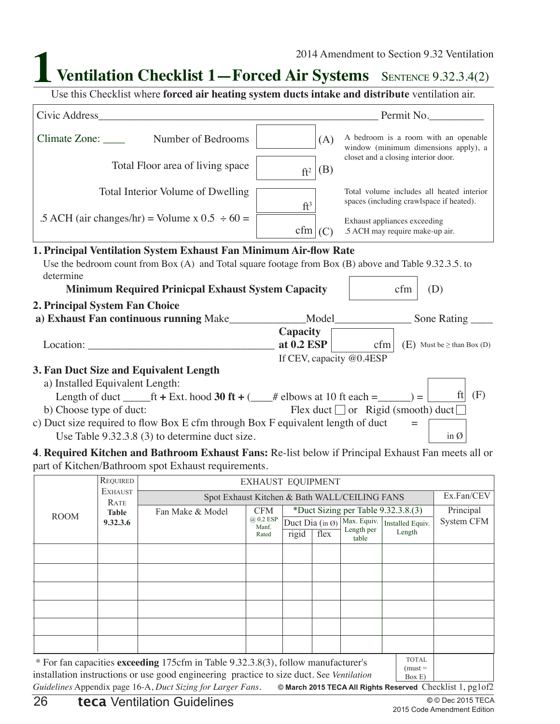**Ventilation Checklist 1—Forced Air Systems** SENTENCE 9.32.3.4(2)

Use this Checklist where **forced air heating system ducts intake and distribute** ventilation air.

| Civic Address Civic Address                                                                               |                                                                              | Permit No.                                                                            |  |
|-----------------------------------------------------------------------------------------------------------|------------------------------------------------------------------------------|---------------------------------------------------------------------------------------|--|
| Number of Bedrooms                                                                                        | A bedroom is a room with an openable<br>window (minimum dimensions apply), a |                                                                                       |  |
| Total Floor area of living space                                                                          | (B)<br>$ft^2$                                                                | closet and a closing interior door.                                                   |  |
| Total Interior Volume of Dwelling                                                                         | $ft^3$                                                                       | Total volume includes all heated interior<br>spaces (including crawlspace if heated). |  |
| .5 ACH (air changes/hr) = Volume x $0.5 \div 60 =$                                                        | cfm<br>(C)                                                                   | Exhaust appliances exceeding<br>.5 ACH may require make-up air.                       |  |
| 1. Principal Ventilation System Exhaust Fan Minimum Air-flow Rate                                         |                                                                              |                                                                                       |  |
| Use the bedroom count from Box $(A)$ and Total square footage from Box $(B)$ above and Table 9.32.3.5. to |                                                                              |                                                                                       |  |
| determine                                                                                                 |                                                                              |                                                                                       |  |
| <b>Minimum Required Prinicpal Exhaust System Capacity</b>                                                 |                                                                              | cfm<br>(D)                                                                            |  |
| 2. Principal System Fan Choice                                                                            |                                                                              |                                                                                       |  |
| a) Exhaust Fan continuous running Make_______________Model___                                             |                                                                              | Sone Rating                                                                           |  |
|                                                                                                           | Capacity                                                                     |                                                                                       |  |
| Location:                                                                                                 | at $0.2$ ESP                                                                 | cfm $\mid$ (E) Must be $\geq$ than Box (D)                                            |  |
|                                                                                                           | If CEV, capacity @0.4ESP                                                     |                                                                                       |  |
| 3. Fan Duct Size and Equivalent Length                                                                    |                                                                              |                                                                                       |  |
| a) Installed Equivalent Length:                                                                           |                                                                              |                                                                                       |  |
| Length of duct ______ft + Ext. hood 30 ft + (____# elbows at 10 ft each =______) = $\Box$                 |                                                                              | ft $(F)$                                                                              |  |
| b) Choose type of duct:                                                                                   |                                                                              | Flex duct $\Box$ or Rigid (smooth) duct $\Box$                                        |  |
| c) Duct size required to flow Box E cfm through Box F equivalent length of duct $=$                       |                                                                              |                                                                                       |  |
| Use Table $9.32.3.8(3)$ to determine duct size.                                                           |                                                                              | in $\emptyset$                                                                        |  |
| 4. Required Kitchen and Bathroom Exhaust Fans: Re-list below if Principal Exhaust Fan meets all or        |                                                                              |                                                                                       |  |
| part of Kitchen/Bathroom spot Exhaust requirements.                                                       |                                                                              |                                                                                       |  |

|                                                                                                                                                                                                                                                                                                                                                                                                                                                                     | REQUIRED                                                                | <b>EXHAUST EQUIPMENT</b> |                    |                 |      |                           |                                      |            |
|---------------------------------------------------------------------------------------------------------------------------------------------------------------------------------------------------------------------------------------------------------------------------------------------------------------------------------------------------------------------------------------------------------------------------------------------------------------------|-------------------------------------------------------------------------|--------------------------|--------------------|-----------------|------|---------------------------|--------------------------------------|------------|
|                                                                                                                                                                                                                                                                                                                                                                                                                                                                     | <b>EXHAUST</b><br>Spot Exhaust Kitchen & Bath WALL/CEILING FANS<br>RATE |                          |                    |                 |      |                           |                                      | Ex.Fan/CEV |
| <b>ROOM</b>                                                                                                                                                                                                                                                                                                                                                                                                                                                         | <b>Table</b>                                                            | Fan Make & Model         | <b>CFM</b>         |                 |      |                           | *Duct Sizing per Table $9.32.3.8(3)$ | Principal  |
|                                                                                                                                                                                                                                                                                                                                                                                                                                                                     | 9.32.3.6                                                                |                          | @ 0.2 ESP<br>Manf. | Duct Dia (in Ø) |      | Max. Equiv.<br>Length per | Installed Equiv.                     | System CFM |
|                                                                                                                                                                                                                                                                                                                                                                                                                                                                     |                                                                         |                          | Rated              | rigid           | flex | table                     | Length                               |            |
|                                                                                                                                                                                                                                                                                                                                                                                                                                                                     |                                                                         |                          |                    |                 |      |                           |                                      |            |
|                                                                                                                                                                                                                                                                                                                                                                                                                                                                     |                                                                         |                          |                    |                 |      |                           |                                      |            |
|                                                                                                                                                                                                                                                                                                                                                                                                                                                                     |                                                                         |                          |                    |                 |      |                           |                                      |            |
|                                                                                                                                                                                                                                                                                                                                                                                                                                                                     |                                                                         |                          |                    |                 |      |                           |                                      |            |
|                                                                                                                                                                                                                                                                                                                                                                                                                                                                     |                                                                         |                          |                    |                 |      |                           |                                      |            |
|                                                                                                                                                                                                                                                                                                                                                                                                                                                                     |                                                                         |                          |                    |                 |      |                           |                                      |            |
|                                                                                                                                                                                                                                                                                                                                                                                                                                                                     |                                                                         |                          |                    |                 |      |                           |                                      |            |
|                                                                                                                                                                                                                                                                                                                                                                                                                                                                     |                                                                         |                          |                    |                 |      |                           |                                      |            |
| <b>TOTAL</b><br>* For fan capacities exceeding 175cfm in Table 9.32.3.8(3), follow manufacturer's<br>$(must =$<br>$\mathcal{L}_{\mathcal{L}}$ , and the second contract of the second contract of the second contract $\mathcal{L}_{\mathcal{L}}$ , $\mathcal{L}_{\mathcal{L}}$ , $\mathcal{L}_{\mathcal{L}}$ , $\mathcal{L}_{\mathcal{L}}$ , $\mathcal{L}_{\mathcal{L}}$ , $\mathcal{L}_{\mathcal{L}}$ , $\mathcal{L}_{\mathcal{L}}$ , $\mathcal{L}_{\mathcal{L}}$ |                                                                         |                          |                    |                 |      |                           |                                      |            |

**© March 2015 TECA All Rights Reserved** Checklist 1, pg1of2 installation instructions or use good engineering practice to size duct. See *Ventilation Guidelines* Appendix page 16-A, *Duct Sizing for Larger Fans*.  $\left| \right|$  Box E)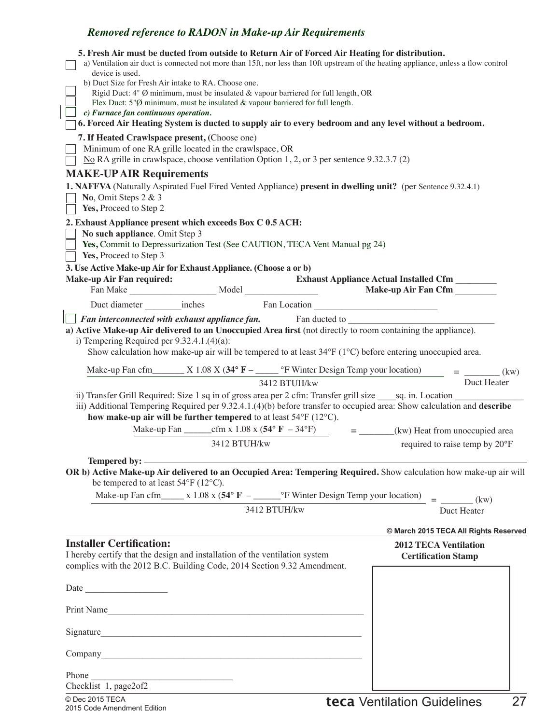| 5. Fresh Air must be ducted from outside to Return Air of Forced Air Heating for distribution.<br>a) Ventilation air duct is connected not more than 15ft, nor less than 10ft upstream of the heating appliance, unless a flow control |                                               |
|----------------------------------------------------------------------------------------------------------------------------------------------------------------------------------------------------------------------------------------|-----------------------------------------------|
| device is used.<br>b) Duct Size for Fresh Air intake to RA. Choose one.                                                                                                                                                                |                                               |
| Rigid Duct: 4" Ø minimum, must be insulated & vapour barriered for full length, OR                                                                                                                                                     |                                               |
| Flex Duct: $5\%$ minimum, must be insulated & vapour barriered for full length.<br>c) Furnace fan continuous operation.                                                                                                                |                                               |
| 6. Forced Air Heating System is ducted to supply air to every bedroom and any level without a bedroom.                                                                                                                                 |                                               |
| 7. If Heated Crawlspace present, (Choose one)<br>Minimum of one RA grille located in the crawlspace, OR                                                                                                                                |                                               |
| No RA grille in crawlspace, choose ventilation Option 1, 2, or 3 per sentence $9.32.3.7(2)$                                                                                                                                            |                                               |
| <b>MAKE-UP AIR Requirements</b><br>1. NAFFVA (Naturally Aspirated Fuel Fired Vented Appliance) present in dwelling unit? (per Sentence 9.32.4.1)                                                                                       |                                               |
| No, Omit Steps $2 & 3$<br>Yes, Proceed to Step 2                                                                                                                                                                                       |                                               |
| 2. Exhaust Appliance present which exceeds Box C 0.5 ACH:                                                                                                                                                                              |                                               |
| No such appliance. Omit Step 3                                                                                                                                                                                                         |                                               |
| Yes, Commit to Depressurization Test (See CAUTION, TECA Vent Manual pg 24)<br>Yes, Proceed to Step 3                                                                                                                                   |                                               |
| 3. Use Active Make-up Air for Exhaust Appliance. (Choose a or b)                                                                                                                                                                       |                                               |
| <b>Make-up Air Fan required:</b>                                                                                                                                                                                                       | <b>Exhaust Appliance Actual Installed Cfm</b> |
|                                                                                                                                                                                                                                        |                                               |
| Duct diameter __________inches Fan Location                                                                                                                                                                                            |                                               |
| Fan interconnected with exhaust appliance fan. Fan ducted to ___________________<br>a) Active Make-up Air delivered to an Unoccupied Area first (not directly to room containing the appliance).                                       |                                               |
| i) Tempering Required per $9.32.4.1(4)(a)$ :                                                                                                                                                                                           |                                               |
| Show calculation how make-up air will be tempered to at least 34°F (1°C) before entering unoccupied area.                                                                                                                              |                                               |
|                                                                                                                                                                                                                                        |                                               |
| 3412 BTUH/kw                                                                                                                                                                                                                           | Duct Heater                                   |
| ii) Transfer Grill Required: Size 1 sq in of gross area per 2 cfm: Transfer grill size ______ sq. in. Location                                                                                                                         |                                               |
| iii) Additional Tempering Required per 9.32.4.1.(4)(b) before transfer to occupied area: Show calculation and describe<br>how make-up air will be further tempered to at least $54^{\circ}$ F (12 $^{\circ}$ C).                       |                                               |
|                                                                                                                                                                                                                                        | $=$ _______(kw) Heat from unoccupied area     |
| 3412 BTUH/kw                                                                                                                                                                                                                           | required to raise temp by 20°F                |
| Tempered by: —————                                                                                                                                                                                                                     |                                               |
| OR b) Active Make-up Air delivered to an Occupied Area: Tempering Required. Show calculation how make-up air will<br>be tempered to at least $54^{\circ}F(12^{\circ}C)$ .                                                              |                                               |
|                                                                                                                                                                                                                                        | $=$ (kw)                                      |
| 3412 BTUH/kw                                                                                                                                                                                                                           | Duct Heater                                   |
|                                                                                                                                                                                                                                        | © March 2015 TECA All Rights Reserved         |
| <b>Installer Certification:</b>                                                                                                                                                                                                        | <b>2012 TECA Ventilation</b>                  |
| I hereby certify that the design and installation of the ventilation system                                                                                                                                                            | <b>Certification Stamp</b>                    |
| complies with the 2012 B.C. Building Code, 2014 Section 9.32 Amendment.                                                                                                                                                                |                                               |
|                                                                                                                                                                                                                                        |                                               |
| Print Name                                                                                                                                                                                                                             |                                               |
| Signature                                                                                                                                                                                                                              |                                               |
|                                                                                                                                                                                                                                        |                                               |
|                                                                                                                                                                                                                                        |                                               |
| Checklist 1, page2 of 2                                                                                                                                                                                                                |                                               |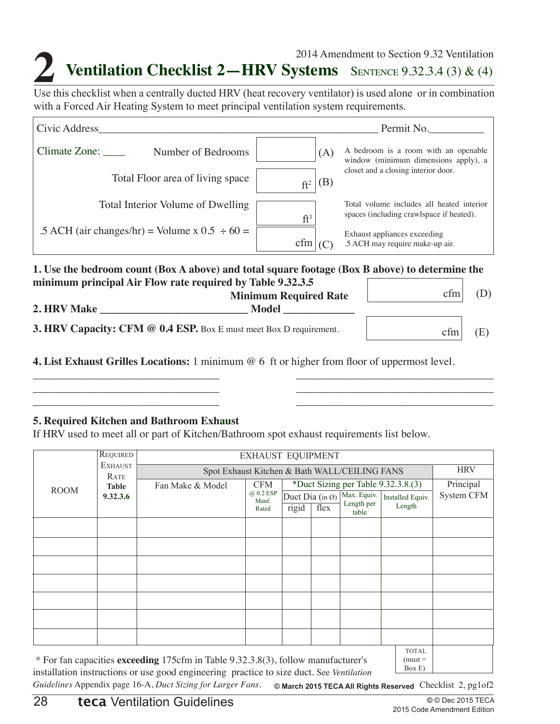## **2014 Amendment to Section 9.32 Ventilation**<br>Use this checklist when a centrally ducted HRV (heat recovery ventilator) is used alone or in combination **Ventilation Checklist 2—HRV Systems** SENTENCE 9.32.3.4 (3) & (4) 2014 Amendment to Section 9.32 Ventilation

with a Forced Air Heating System to meet principal ventilation system requirements.

| Civic Address                                                                                                                                                |                        | Permit No.                                                                            |
|--------------------------------------------------------------------------------------------------------------------------------------------------------------|------------------------|---------------------------------------------------------------------------------------|
| Climate Zone:<br>Number of Bedrooms                                                                                                                          | (A)                    | A bedroom is a room with an openable<br>window (minimum dimensions apply), a          |
| Total Floor area of living space                                                                                                                             | (B)<br>ft <sup>2</sup> | closet and a closing interior door.                                                   |
| Total Interior Volume of Dwelling                                                                                                                            | ft <sup>3</sup>        | Total volume includes all heated interior<br>spaces (including crawlspace if heated). |
| .5 ACH (air changes/hr) = Volume x $0.5 \div 60 =$                                                                                                           | cfm                    | Exhaust appliances exceeding<br>.5 ACH may require make-up air.                       |
| 1. Use the bedroom count (Box A above) and total square footage (Box B above) to determine the<br>minimum principal Air Flow rate required by Table 9.32.3.5 |                        |                                                                                       |

| minimum principalitan Tiow Taic required by Table 7 whole<br><b>Minimum Required Rate</b> | cfm |  |
|-------------------------------------------------------------------------------------------|-----|--|
| <b>2. HRV Make</b><br>Model                                                               |     |  |
| <b>3. HRV Capacity: CFM @ 0.4 ESP.</b> Box E must meet Box D requirement.                 | cfm |  |

\_\_\_\_\_\_\_\_\_\_\_\_\_\_\_\_\_\_\_\_\_\_\_\_\_\_\_\_\_\_\_\_\_\_ \_\_\_\_\_\_\_\_\_\_\_\_\_\_\_\_\_\_\_\_\_\_\_\_\_\_\_\_\_\_\_\_\_\_\_\_ \_\_\_\_\_\_\_\_\_\_\_\_\_\_\_\_\_\_\_\_\_\_\_\_\_\_\_\_\_\_\_\_\_\_ \_\_\_\_\_\_\_\_\_\_\_\_\_\_\_\_\_\_\_\_\_\_\_\_\_\_\_\_\_\_\_\_\_\_\_\_ \_\_\_\_\_\_\_\_\_\_\_\_\_\_\_\_\_\_\_\_\_\_\_\_\_\_\_\_\_\_\_\_\_\_ \_\_\_\_\_\_\_\_\_\_\_\_\_\_\_\_\_\_\_\_\_\_\_\_\_\_\_\_\_\_\_\_\_\_\_\_

**4. List Exhaust Grilles Locations:** 1 minimum @ 6 ft or higher from floor of uppermost level.

#### **5. Required Kitchen and Bathroom Exhaust**

If HRV used to meet all or part of Kitchen/Bathroom spot exhaust requirements list below.

|             | <b>REQUIRED</b>        | <b>EXHAUST EQUIPMENT</b>                                                               |                                 |                                     |      |                                    |                                     |            |
|-------------|------------------------|----------------------------------------------------------------------------------------|---------------------------------|-------------------------------------|------|------------------------------------|-------------------------------------|------------|
|             | <b>EXHAUST</b><br>RATE | <b>HRV</b><br>Spot Exhaust Kitchen & Bath WALL/CEILING FANS                            |                                 |                                     |      |                                    |                                     |            |
| <b>ROOM</b> | <b>Table</b>           | Fan Make & Model                                                                       | <b>CFM</b>                      |                                     |      |                                    | *Duct Sizing per Table 9.32.3.8.(3) | Principal  |
|             | 9.32.3.6               |                                                                                        | $(a)$ 0.2 ESP<br>Manf.<br>Rated | Duct Dia (in $\emptyset$ )<br>rigid | flex | Max. Equiv.<br>Length per<br>table | Installed Equiv.<br>Length          | System CFM |
|             |                        |                                                                                        |                                 |                                     |      |                                    |                                     |            |
|             |                        |                                                                                        |                                 |                                     |      |                                    |                                     |            |
|             |                        |                                                                                        |                                 |                                     |      |                                    |                                     |            |
|             |                        |                                                                                        |                                 |                                     |      |                                    |                                     |            |
|             |                        |                                                                                        |                                 |                                     |      |                                    |                                     |            |
|             |                        |                                                                                        |                                 |                                     |      |                                    |                                     |            |
|             |                        |                                                                                        |                                 |                                     |      |                                    |                                     |            |
|             |                        | $*$ Ear fan appearing exampling 175 $\delta$ in Table 0.22.2.2.2. follow manufacturars |                                 |                                     |      |                                    | <b>TOTAL</b><br>$(must -$           |            |

\* For fan capacities **exceeding** 175cfm in Table 9.32.3.8(3), follow manufacturer's installation instructions or use good engineering practice to size duct. See *Ventilation* 

must Box E)

Guidelines Appendix page 16-A, *Duct Sizing for Larger Fans*. © March 2015 TECA All Rights Reserved Checklist 2, pg1of2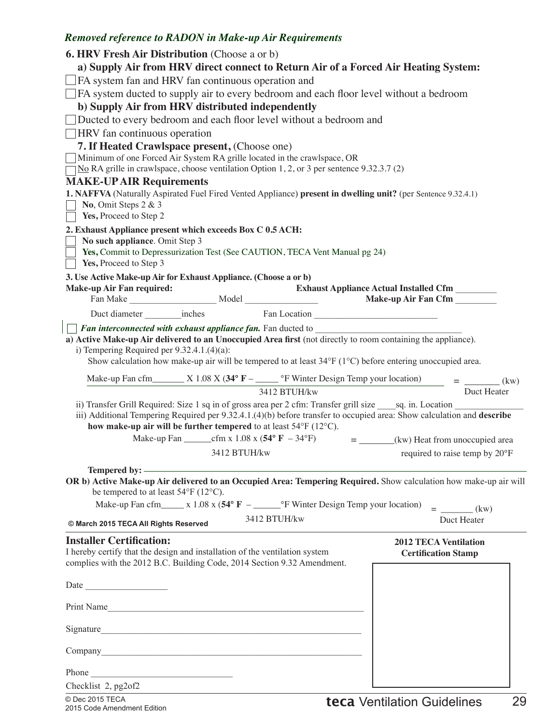|                                                                                                              |              | <b>6. HRV Fresh Air Distribution</b> (Choose a or b)                                                   |                                                                                                                                                                                                                                                               |
|--------------------------------------------------------------------------------------------------------------|--------------|--------------------------------------------------------------------------------------------------------|---------------------------------------------------------------------------------------------------------------------------------------------------------------------------------------------------------------------------------------------------------------|
|                                                                                                              |              |                                                                                                        | a) Supply Air from HRV direct connect to Return Air of a Forced Air Heating System:                                                                                                                                                                           |
| $\Box$ FA system fan and HRV fan continuous operation and                                                    |              |                                                                                                        |                                                                                                                                                                                                                                                               |
| $\Box$ FA system ducted to supply air to every bedroom and each floor level without a bedroom                |              |                                                                                                        |                                                                                                                                                                                                                                                               |
| b) Supply Air from HRV distributed independently                                                             |              |                                                                                                        |                                                                                                                                                                                                                                                               |
|                                                                                                              |              | Ducted to every bedroom and each floor level without a bedroom and                                     |                                                                                                                                                                                                                                                               |
| <b>HRV</b> fan continuous operation                                                                          |              |                                                                                                        |                                                                                                                                                                                                                                                               |
| 7. If Heated Crawlspace present, (Choose one)                                                                |              |                                                                                                        |                                                                                                                                                                                                                                                               |
|                                                                                                              |              | Minimum of one Forced Air System RA grille located in the crawlspace, OR                               |                                                                                                                                                                                                                                                               |
|                                                                                                              |              | $\neg$ No RA grille in crawlspace, choose ventilation Option 1, 2, or 3 per sentence 9.32.3.7 (2)      |                                                                                                                                                                                                                                                               |
| <b>MAKE-UP AIR Requirements</b>                                                                              |              |                                                                                                        |                                                                                                                                                                                                                                                               |
|                                                                                                              |              |                                                                                                        | 1. NAFFVA (Naturally Aspirated Fuel Fired Vented Appliance) present in dwelling unit? (per Sentence 9.32.4.1)                                                                                                                                                 |
| No, Omit Steps $2 & 3$                                                                                       |              |                                                                                                        |                                                                                                                                                                                                                                                               |
| Yes, Proceed to Step 2                                                                                       |              |                                                                                                        |                                                                                                                                                                                                                                                               |
| 2. Exhaust Appliance present which exceeds Box C 0.5 ACH:                                                    |              |                                                                                                        |                                                                                                                                                                                                                                                               |
| No such appliance. Omit Step 3                                                                               |              | Yes, Commit to Depressurization Test (See CAUTION, TECA Vent Manual pg 24)                             |                                                                                                                                                                                                                                                               |
| Yes, Proceed to Step 3                                                                                       |              |                                                                                                        |                                                                                                                                                                                                                                                               |
| 3. Use Active Make-up Air for Exhaust Appliance. (Choose a or b)                                             |              |                                                                                                        |                                                                                                                                                                                                                                                               |
| <b>Make-up Air Fan required:</b>                                                                             |              |                                                                                                        | <b>Exhaust Appliance Actual Installed Cfm</b>                                                                                                                                                                                                                 |
|                                                                                                              |              |                                                                                                        |                                                                                                                                                                                                                                                               |
|                                                                                                              |              |                                                                                                        |                                                                                                                                                                                                                                                               |
|                                                                                                              |              | Fan interconnected with exhaust appliance fan. Fan ducted to ___________________                       |                                                                                                                                                                                                                                                               |
| a) Active Make-up Air delivered to an Unoccupied Area first (not directly to room containing the appliance). |              |                                                                                                        |                                                                                                                                                                                                                                                               |
| i) Tempering Required per $9.32.4.1(4)(a)$ :                                                                 |              |                                                                                                        |                                                                                                                                                                                                                                                               |
|                                                                                                              |              |                                                                                                        | Show calculation how make-up air will be tempered to at least 34°F (1°C) before entering unoccupied area.                                                                                                                                                     |
|                                                                                                              |              |                                                                                                        |                                                                                                                                                                                                                                                               |
|                                                                                                              |              |                                                                                                        |                                                                                                                                                                                                                                                               |
|                                                                                                              |              |                                                                                                        | Make-up Fan cfm X 1.08 X (34° F - $\frac{\text{e}}{\text{e}t}$ - $\frac{\text{e}}{\text{e}t}$ - $\frac{\text{e}}{\text{e}t}$ - $\frac{\text{e}}{\text{e}t}$ - $\frac{\text{e}}{\text{e}t}$ - $\frac{\text{e}}{\text{e}t}$ - $\frac{\text{e}}{\text{e}t}$ (kw) |
|                                                                                                              |              | 3412 BTUH/kw                                                                                           | Duct Heater                                                                                                                                                                                                                                                   |
|                                                                                                              |              |                                                                                                        | ii) Transfer Grill Required: Size 1 sq in of gross area per 2 cfm: Transfer grill size sq. in. Location<br>iii) Additional Tempering Required per 9.32.4.1.(4)(b) before transfer to occupied area: Show calculation and describe                             |
| how make-up air will be further tempered to at least $54^{\circ}$ F (12 $^{\circ}$ C).                       |              |                                                                                                        |                                                                                                                                                                                                                                                               |
|                                                                                                              |              |                                                                                                        | $=$ ________(kw) Heat from unoccupied area                                                                                                                                                                                                                    |
|                                                                                                              | 3412 BTUH/kw |                                                                                                        | required to raise temp by 20°F                                                                                                                                                                                                                                |
|                                                                                                              |              |                                                                                                        |                                                                                                                                                                                                                                                               |
|                                                                                                              |              |                                                                                                        |                                                                                                                                                                                                                                                               |
| be tempered to at least $54^{\circ}$ F (12°C).                                                               |              |                                                                                                        | OR b) Active Make-up Air delivered to an Occupied Area: Tempering Required. Show calculation how make-up air will                                                                                                                                             |
|                                                                                                              |              | Make-up Fan cfm______ x 1.08 x (54 $\degree$ F -________ $\degree$ F Winter Design Temp your location) |                                                                                                                                                                                                                                                               |
|                                                                                                              |              | 3412 BTUH/kw                                                                                           | $=$ (kw)                                                                                                                                                                                                                                                      |
| © March 2015 TECA All Rights Reserved                                                                        |              |                                                                                                        | Duct Heater                                                                                                                                                                                                                                                   |
| <b>Installer Certification:</b>                                                                              |              |                                                                                                        | <b>2012 TECA Ventilation</b>                                                                                                                                                                                                                                  |
| I hereby certify that the design and installation of the ventilation system                                  |              |                                                                                                        | <b>Certification Stamp</b>                                                                                                                                                                                                                                    |
| complies with the 2012 B.C. Building Code, 2014 Section 9.32 Amendment.                                      |              |                                                                                                        |                                                                                                                                                                                                                                                               |
|                                                                                                              |              |                                                                                                        |                                                                                                                                                                                                                                                               |
| Date                                                                                                         |              |                                                                                                        |                                                                                                                                                                                                                                                               |
|                                                                                                              |              |                                                                                                        |                                                                                                                                                                                                                                                               |
| Print Name                                                                                                   |              |                                                                                                        |                                                                                                                                                                                                                                                               |
| Signature                                                                                                    |              |                                                                                                        |                                                                                                                                                                                                                                                               |
|                                                                                                              |              |                                                                                                        |                                                                                                                                                                                                                                                               |
|                                                                                                              |              |                                                                                                        |                                                                                                                                                                                                                                                               |
|                                                                                                              |              |                                                                                                        |                                                                                                                                                                                                                                                               |
| Phone<br>Checklist 2, pg2of2                                                                                 |              |                                                                                                        |                                                                                                                                                                                                                                                               |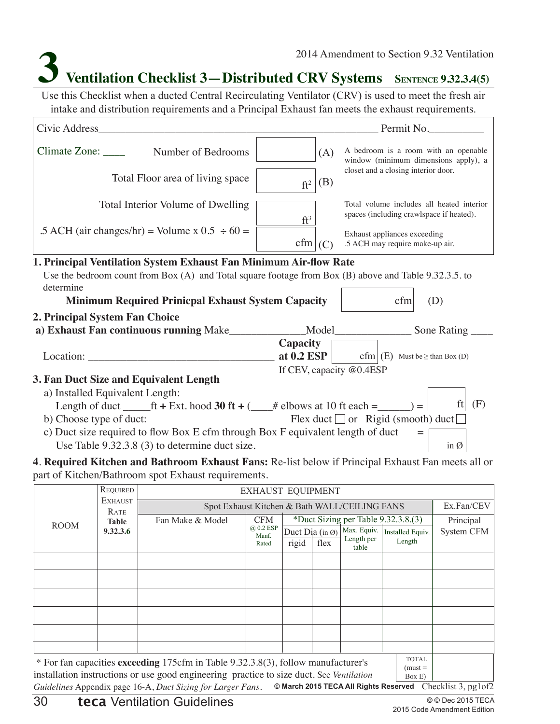## **3 Ventilation Checklist 3—Distributed CRV Systems SENTENCE 9.32.3.4(5)**

Use this Checklist when a ducted Central Recirculating Ventilator (CRV) is used to meet the fresh air intake and distribution requirements and a Principal Exhaust fan meets the exhaust requirements.

| Civic Address Civic Address                                                                                                       |                          | Permit No.                                                                            |
|-----------------------------------------------------------------------------------------------------------------------------------|--------------------------|---------------------------------------------------------------------------------------|
| Climate Zone: ____<br>Number of Bedrooms                                                                                          | (A)                      | A bedroom is a room with an openable<br>window (minimum dimensions apply), a          |
| Total Floor area of living space                                                                                                  | (B)<br>$ft^2$            | closet and a closing interior door.                                                   |
| Total Interior Volume of Dwelling                                                                                                 | $ft^3$                   | Total volume includes all heated interior<br>spaces (including crawlspace if heated). |
| .5 ACH (air changes/hr) = Volume x $0.5 \div 60 =$                                                                                | cfm (C)                  | Exhaust appliances exceeding<br>.5 ACH may require make-up air.                       |
| 1. Principal Ventilation System Exhaust Fan Minimum Air-flow Rate                                                                 |                          |                                                                                       |
| Use the bedroom count from Box $(A)$ and Total square footage from Box $(B)$ above and Table 9.32.3.5. to                         |                          |                                                                                       |
| determine                                                                                                                         |                          |                                                                                       |
| <b>Minimum Required Prinicpal Exhaust System Capacity</b>                                                                         |                          | cfm<br>(D)                                                                            |
| 2. Principal System Fan Choice                                                                                                    |                          |                                                                                       |
|                                                                                                                                   |                          |                                                                                       |
|                                                                                                                                   | Capacity                 |                                                                                       |
| Location:                                                                                                                         |                          | <b>at 0.2 ESP</b> cfm $(E)$ Must be $\geq$ than Box (D)                               |
|                                                                                                                                   | If CEV, capacity @0.4ESP |                                                                                       |
| 3. Fan Duct Size and Equivalent Length                                                                                            |                          |                                                                                       |
| a) Installed Equivalent Length:                                                                                                   |                          |                                                                                       |
| Length of duct ______ft + Ext. hood 30 ft + (____# elbows at 10 ft each =______) = [                                              |                          | ft $(F)$                                                                              |
| b) Choose type of duct:                                                                                                           |                          | Flex duct $\Box$ or Rigid (smooth) duct $\Box$                                        |
| c) Duct size required to flow Box E cfm through Box F equivalent length of duct<br>Use Table 9.32.3.8 (3) to determine duct size. |                          | in $\emptyset$                                                                        |
| 4. Required Kitchen and Bathroom Exhaust Fans: Re-list below if Principal Exhaust Fan meets all or                                |                          |                                                                                       |
| part of Kitchen/Bathroom spot Exhaust requirements.                                                                               |                          |                                                                                       |

Duct Dia (in Ø) rigid flex REQUIRED **EXHAUST EQUIPMENT EXHAUST RATE Table 9.32.3.6** Spot Exhaust Kitchen & Bath WALL/CEILING FANS ROOM TOTAL  $(must =$ Box E) CFM @ 0.2 ESP Manf. Rated Max. Equiv. Length per table Installed Equiv. Length Fan Make & Model CFM \*Duct Sizing per Table 9.32.3.8.(3) Ex.Fan/CEV Principal System CFM \* For fan capacities **exceeding** 175cfm in Table 9.32.3.8(3), follow manufacturer's installation instructions or use good engineering practice to size duct. See *Ventilation* 

Checklist 3, pg1of2 **© March 2015 TECA All Rights Reserved** *Guidelines* Appendix page 16-A, *Duct Sizing for Larger Fans*.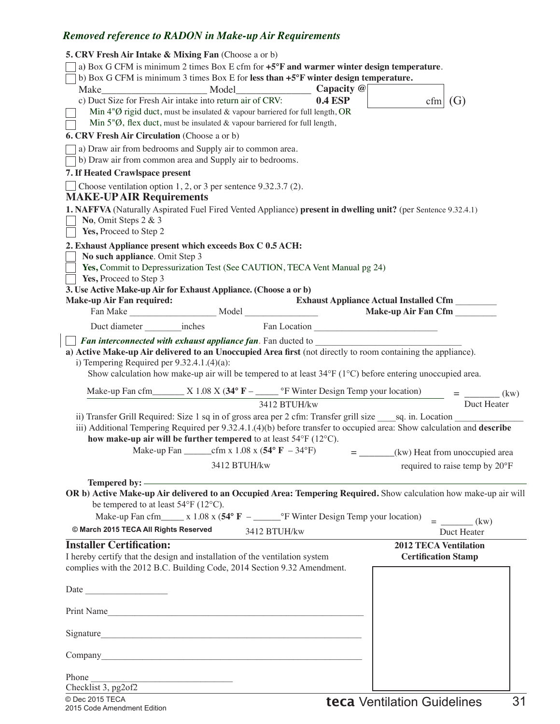| <b>5. CRV Fresh Air Intake &amp; Mixing Fan</b> (Choose a or b)<br>a) Box G CFM is minimum 2 times Box E cfm for +5°F and warmer winter design temperature.<br>b) Box G CFM is minimum 3 times Box E for less than +5°F winter design temperature.                                                                            |
|-------------------------------------------------------------------------------------------------------------------------------------------------------------------------------------------------------------------------------------------------------------------------------------------------------------------------------|
|                                                                                                                                                                                                                                                                                                                               |
| c) Duct Size for Fresh Air intake into return air of CRV:<br><b>0.4 ESP</b><br>cfm   (G)                                                                                                                                                                                                                                      |
| Min $4\degree$ Q rigid duct, must be insulated & vapour barriered for full length, OR<br>Min $5\degree\emptyset$ , flex duct, must be insulated & vapour barriered for full length,                                                                                                                                           |
| 6. CRV Fresh Air Circulation (Choose a or b)                                                                                                                                                                                                                                                                                  |
| a) Draw air from bedrooms and Supply air to common area.<br>b) Draw air from common area and Supply air to bedrooms.                                                                                                                                                                                                          |
| 7. If Heated Crawlspace present                                                                                                                                                                                                                                                                                               |
| Choose ventilation option $1, 2$ , or 3 per sentence $9.32.3.7$ (2).<br><b>MAKE-UP AIR Requirements</b>                                                                                                                                                                                                                       |
| 1. NAFFVA (Naturally Aspirated Fuel Fired Vented Appliance) present in dwelling unit? (per Sentence 9.32.4.1)<br>No, Omit Steps $2 & 3$                                                                                                                                                                                       |
| Yes, Proceed to Step 2                                                                                                                                                                                                                                                                                                        |
| 2. Exhaust Appliance present which exceeds Box C 0.5 ACH:<br>No such appliance. Omit Step 3<br>Yes, Commit to Depressurization Test (See CAUTION, TECA Vent Manual pg 24)<br>Yes, Proceed to Step 3<br>3. Use Active Make-up Air for Exhaust Appliance. (Choose a or b)                                                       |
| Exhaust Appliance Actual Installed Cfm<br><b>Make-up Air Fan required:</b>                                                                                                                                                                                                                                                    |
|                                                                                                                                                                                                                                                                                                                               |
|                                                                                                                                                                                                                                                                                                                               |
| a) Active Make-up Air delivered to an Unoccupied Area first (not directly to room containing the appliance).<br>i) Tempering Required per $9.32.4.1(4)(a)$ :<br>Show calculation how make-up air will be tempered to at least $34^{\circ}F(1^{\circ}C)$ before entering unoccupied area.                                      |
| Make-up Fan cfm______ X 1.08 X (34° $F -$ ____ °F Winter Design Temp your location)<br>3412 BTUH/kw<br>Duct Heater<br>3412 BTUH/kw                                                                                                                                                                                            |
| ii) Transfer Grill Required: Size 1 sq in of gross area per 2 cfm: Transfer grill size ______ sq. in. Location<br>iii) Additional Tempering Required per 9.32.4.1.(4)(b) before transfer to occupied area: Show calculation and describe<br>how make-up air will be further tempered to at least $54^{\circ}F(12^{\circ}C)$ . |
| $=$ ________(kw) Heat from unoccupied area                                                                                                                                                                                                                                                                                    |
| 3412 BTUH/kw<br>required to raise temp by 20°F                                                                                                                                                                                                                                                                                |
|                                                                                                                                                                                                                                                                                                                               |
| OR b) Active Make-up Air delivered to an Occupied Area: Tempering Required. Show calculation how make-up air will<br>be tempered to at least 54°F (12°C).                                                                                                                                                                     |
| Make-up Fan cfm_____ x 1.08 x ( $54^{\circ}$ F -_______ °F Winter Design Temp your location)<br>$=$ (kw)                                                                                                                                                                                                                      |
| © March 2015 TECA All Rights Reserved<br>3412 BTUH/kw<br>Duct Heater                                                                                                                                                                                                                                                          |
| <b>Installer Certification:</b><br><b>2012 TECA Ventilation</b><br>I hereby certify that the design and installation of the ventilation system<br><b>Certification Stamp</b><br>complies with the 2012 B.C. Building Code, 2014 Section 9.32 Amendment.                                                                       |
| Date                                                                                                                                                                                                                                                                                                                          |
| Print Name                                                                                                                                                                                                                                                                                                                    |
| Signature                                                                                                                                                                                                                                                                                                                     |
| Company company company company company company company company company company company company company company                                                                                                                                                                                                               |
| Phone<br>Checklist 3, pg2of2                                                                                                                                                                                                                                                                                                  |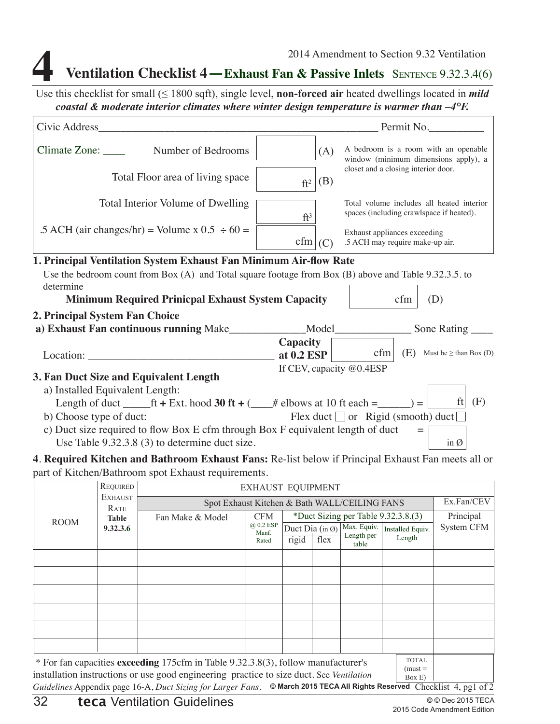## **Ventilation Checklist 4—Exhaust Fan & Passive Inlets** SENTENCE 9.32.3.4(6)

Use this checklist for small (≤ 1800 sqft), single level, **non-forced air** heated dwellings located in *mild coastal & moderate interior climates where winter design temperature is warmer than –4°F.* 

| Civic Address_                                                                                                                    |                          |                              | Permit No.                                                                            |
|-----------------------------------------------------------------------------------------------------------------------------------|--------------------------|------------------------------|---------------------------------------------------------------------------------------|
| $Climate Zone: \_\_\_\_\_\$<br>Number of Bedrooms                                                                                 | (A)                      |                              | A bedroom is a room with an openable<br>window (minimum dimensions apply), a          |
| Total Floor area of living space                                                                                                  | (B)<br>$ft^2$            |                              | closet and a closing interior door.                                                   |
| Total Interior Volume of Dwelling                                                                                                 | $ft^3$                   |                              | Total volume includes all heated interior<br>spaces (including crawlspace if heated). |
| .5 ACH (air changes/hr) = Volume x $0.5 \div 60 =$                                                                                | cfm (C)                  | Exhaust appliances exceeding | .5 ACH may require make-up air.                                                       |
| 1. Principal Ventilation System Exhaust Fan Minimum Air-flow Rate                                                                 |                          |                              |                                                                                       |
| Use the bedroom count from Box $(A)$ and Total square footage from Box $(B)$ above and Table 9.32.3.5. to                         |                          |                              |                                                                                       |
| determine                                                                                                                         |                          |                              |                                                                                       |
| <b>Minimum Required Prinicpal Exhaust System Capacity</b>                                                                         |                          |                              | (D)<br>cfm                                                                            |
| 2. Principal System Fan Choice                                                                                                    |                          |                              |                                                                                       |
| a) Exhaust Fan continuous running Make_____________Model_______________Sone Rating ___                                            |                          |                              |                                                                                       |
|                                                                                                                                   | Capacity                 |                              |                                                                                       |
| Location: Location:                                                                                                               | at $0.2$ ESP             | cfm                          | (E) Must be $\geq$ than Box (D)                                                       |
|                                                                                                                                   | If CEV, capacity @0.4ESP |                              |                                                                                       |
| 3. Fan Duct Size and Equivalent Length                                                                                            |                          |                              |                                                                                       |
| a) Installed Equivalent Length:                                                                                                   |                          |                              | ft                                                                                    |
| Length of duct ______ft + Ext. hood 30 ft + (____# elbows at 10 ft each = ______) =                                               |                          |                              | (F)                                                                                   |
| b) Choose type of duct:                                                                                                           |                          |                              | Flex duct $\Box$ or Rigid (smooth) duct $\Box$                                        |
| c) Duct size required to flow Box E cfm through Box F equivalent length of duct<br>Use Table 9.32.3.8 (3) to determine duct size. |                          |                              | in $\varnothing$                                                                      |
| n turn indicated and an indicated and                                                                                             |                          |                              |                                                                                       |

**4**. **Required Kitchen and Bathroom Exhaust Fans:** Re-list below if Principal Exhaust Fan meets all or part of Kitchen/Bathroom spot Exhaust requirements.

|                                                                                                                                                                                                                     | REQUIRED               |                                                             | <b>EXHAUST EQUIPMENT</b> |                            |      |                     |                                     |            |
|---------------------------------------------------------------------------------------------------------------------------------------------------------------------------------------------------------------------|------------------------|-------------------------------------------------------------|--------------------------|----------------------------|------|---------------------|-------------------------------------|------------|
|                                                                                                                                                                                                                     | <b>EXHAUST</b><br>RATE | Ex.Fan/CEV<br>Spot Exhaust Kitchen & Bath WALL/CEILING FANS |                          |                            |      |                     |                                     |            |
| <b>ROOM</b>                                                                                                                                                                                                         | <b>Table</b>           | Fan Make & Model                                            | <b>CFM</b>               |                            |      |                     | *Duct Sizing per Table 9.32.3.8.(3) | Principal  |
|                                                                                                                                                                                                                     | 9.32.3.6               |                                                             | @ 0.2 ESP<br>Manf.       | Duct Dia (in $\emptyset$ ) |      | Max. Equiv.         | Installed Equiv.                    | System CFM |
|                                                                                                                                                                                                                     |                        |                                                             | Rated                    | rigid                      | flex | Length per<br>table | Length                              |            |
|                                                                                                                                                                                                                     |                        |                                                             |                          |                            |      |                     |                                     |            |
|                                                                                                                                                                                                                     |                        |                                                             |                          |                            |      |                     |                                     |            |
|                                                                                                                                                                                                                     |                        |                                                             |                          |                            |      |                     |                                     |            |
|                                                                                                                                                                                                                     |                        |                                                             |                          |                            |      |                     |                                     |            |
|                                                                                                                                                                                                                     |                        |                                                             |                          |                            |      |                     |                                     |            |
|                                                                                                                                                                                                                     |                        |                                                             |                          |                            |      |                     |                                     |            |
| <b>TOTAL</b><br>* For fan capacities exceeding 175cfm in Table 9.32.3.8(3), follow manufacturer's<br>$(must =$<br>installation instructions or use good engineering practice to size duct. See Ventilation<br>Box E |                        |                                                             |                          |                            |      |                     |                                     |            |

Guidelines Appendix page 16-A, Duct Sizing for Larger Fans. © March 2015 TECA All Rights Reserved Checklist 4, pg1 of 2  $\vert$  Box E)  $\vert$